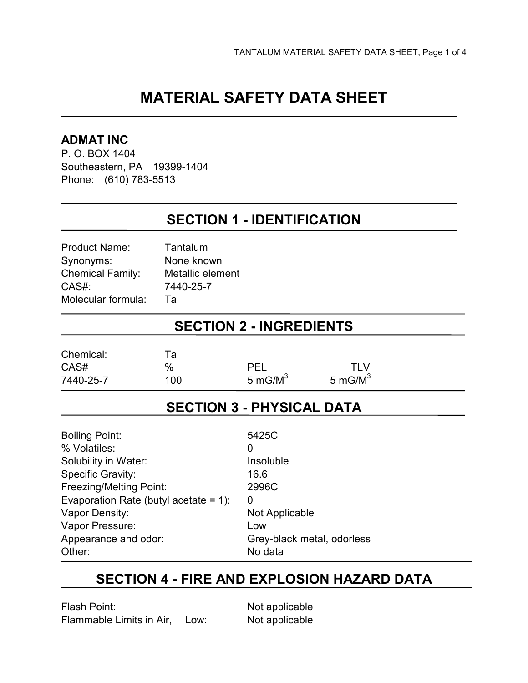# **MATERIAL SAFETY DATA SHEET**

#### **ADMAT INC**

P. O. BOX 1404 Southeastern, PA 19399-1404 Phone: (610) 783-5513

### **SECTION 1 - IDENTIFICATION**

| <b>Product Name:</b>    | Tantalum         |
|-------------------------|------------------|
| Synonyms:               | None known       |
| <b>Chemical Family:</b> | Metallic element |
| CAS#:                   | 7440-25-7        |
| Molecular formula:      | Та               |

### **SECTION 2 - INGREDIENTS**

| Chemical: | Та  |            |            |  |
|-----------|-----|------------|------------|--|
| CAS#      | %   | PEL        | TI V       |  |
| 7440-25-7 | 100 | 5 mG/ $M3$ | 5 mG/ $M3$ |  |
|           |     |            |            |  |

### **SECTION 3 - PHYSICAL DATA**

| <b>Boiling Point:</b>                    | 5425C                      |
|------------------------------------------|----------------------------|
| % Volatiles:                             | O                          |
| Solubility in Water:                     | Insoluble                  |
| <b>Specific Gravity:</b>                 | 16.6                       |
| <b>Freezing/Melting Point:</b>           | 2996C                      |
| Evaporation Rate (butyl acetate = $1$ ): | 0                          |
| Vapor Density:                           | Not Applicable             |
| Vapor Pressure:                          | Low                        |
| Appearance and odor:                     | Grey-black metal, odorless |
| Other:                                   | No data                    |

### **SECTION 4 - FIRE AND EXPLOSION HAZARD DATA**

Flash Point: Not applicable Flammable Limits in Air, Low: Not applicable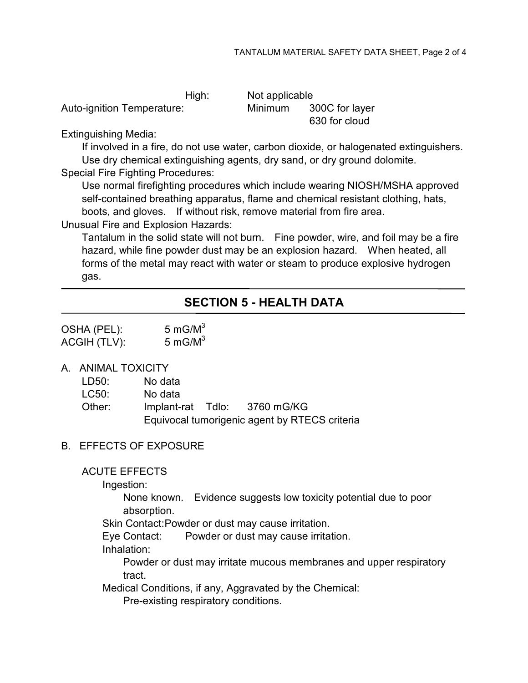High: Not applicable Auto-ignition Temperature: Minimum 300C for layer

630 for cloud

Extinguishing Media:

If involved in a fire, do not use water, carbon dioxide, or halogenated extinguishers. Use dry chemical extinguishing agents, dry sand, or dry ground dolomite.

Special Fire Fighting Procedures:

Use normal firefighting procedures which include wearing NIOSH/MSHA approved self-contained breathing apparatus, flame and chemical resistant clothing, hats, boots, and gloves. If without risk, remove material from fire area.

Unusual Fire and Explosion Hazards:

Tantalum in the solid state will not burn. Fine powder, wire, and foil may be a fire hazard, while fine powder dust may be an explosion hazard. When heated, all forms of the metal may react with water or steam to produce explosive hydrogen gas.

### **SECTION 5 - HEALTH DATA**

| OSHA (PEL):  | 5 mG/ $M3$ |
|--------------|------------|
| ACGIH (TLV): | 5 mG/ $M3$ |

A. ANIMAL TOXICITY

| Other: |         | Implant-rat Tdlo: 3760 mG/KG |
|--------|---------|------------------------------|
| LC50:  | No data |                              |
| LD50:  | No data |                              |

#### Equivocal tumorigenic agent by RTECS criteria

#### B. EFFECTS OF EXPOSURE

ACUTE EFFECTS

Ingestion:

None known. Evidence suggests low toxicity potential due to poor absorption.

Skin Contact: Powder or dust may cause irritation.

Eye Contact: Powder or dust may cause irritation.

Inhalation:

Powder or dust may irritate mucous membranes and upper respiratory tract.

Medical Conditions, if any, Aggravated by the Chemical:

Pre-existing respiratory conditions.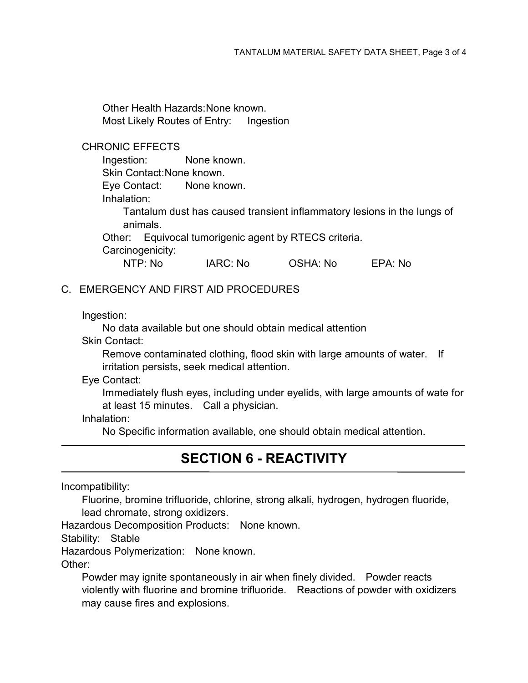Other Health Hazards: None known. Most Likely Routes of Entry: Ingestion

#### CHRONIC EFFECTS

Ingestion: None known. Skin Contact: None known. Eye Contact: None known. Inhalation: Tantalum dust has caused transient inflammatory lesions in the lungs of animals. Other: Equivocal tumorigenic agent by RTECS criteria.

Carcinogenicity:

NTP: No IARC: No OSHA: No EPA: No

#### C. EMERGENCY AND FIRST AID PROCEDURES

Ingestion:

No data available but one should obtain medical attention

Skin Contact:

Remove contaminated clothing, flood skin with large amounts of water. If irritation persists, seek medical attention.

Eye Contact:

Immediately flush eyes, including under eyelids, with large amounts of wate for at least 15 minutes. Call a physician.

Inhalation:

No Specific information available, one should obtain medical attention.

# **SECTION 6 - REACTIVITY**

Incompatibility:

Fluorine, bromine trifluoride, chlorine, strong alkali, hydrogen, hydrogen fluoride, lead chromate, strong oxidizers.

Hazardous Decomposition Products: None known.

Stability: Stable

Hazardous Polymerization: None known.

Other:

Powder may ignite spontaneously in air when finely divided. Powder reacts violently with fluorine and bromine trifluoride. Reactions of powder with oxidizers may cause fires and explosions.